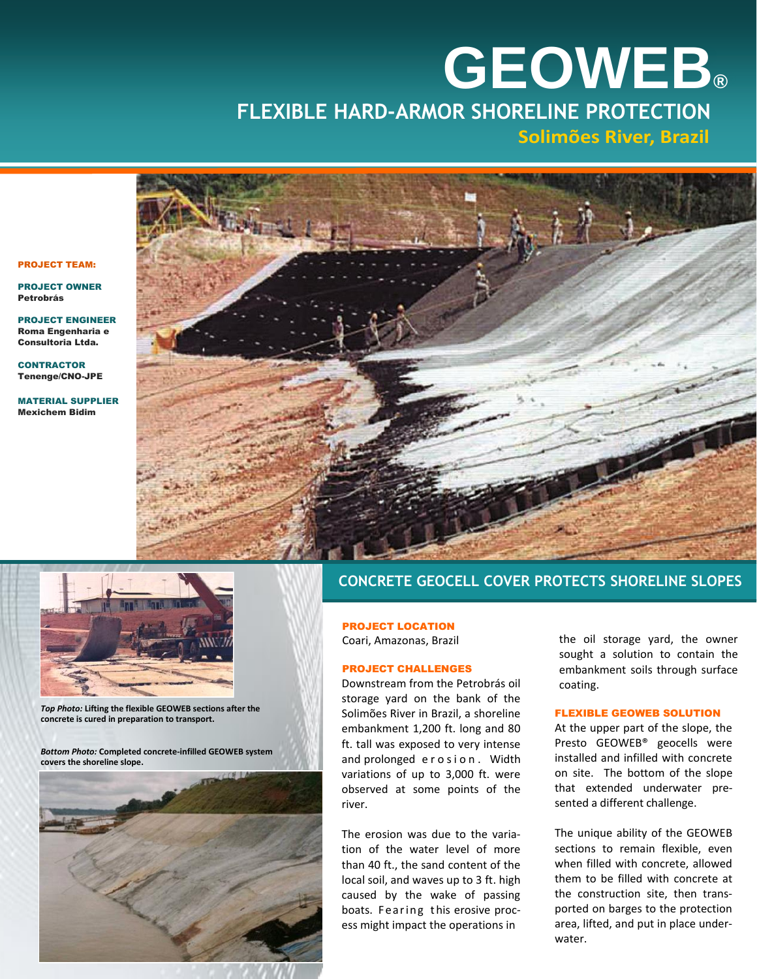## **GEOWEB® GEOWEB® FLEXIBLE HARD-ARMOR SHORELINE PROTECTION Solimões River, Brazil**





*Top Photo:* **Lifting the flexible GEOWEB sections after the concrete is cured in preparation to transport.**

*Bottom Photo:* **Completed concrete-infilled GEOWEB system covers the shoreline slope.**



## **CONCRETE GEOCELL COVER PROTECTS SHORELINE SLOPES**

PROJECT LOCATION Coari, Amazonas, Brazil

#### PROJECT CHALLENGES

Downstream from the Petrobrás oil storage yard on the bank of the Solimões River in Brazil, a shoreline embankment 1,200 ft. long and 80 ft. tall was exposed to very intense and prolonged erosion. Width variations of up to 3,000 ft. were observed at some points of the river.

The erosion was due to the variation of the water level of more than 40 ft., the sand content of the local soil, and waves up to 3 ft. high caused by the wake of passing boats. Fearing this erosive process might impact the operations in

the oil storage yard, the owner sought a solution to contain the embankment soils through surface coating.

### FLEXIBLE GEOWEB SOLUTION

At the upper part of the slope, the Presto GEOWEB® geocells were installed and infilled with concrete on site. The bottom of the slope that extended underwater presented a different challenge.

The unique ability of the GEOWEB sections to remain flexible, even when filled with concrete, allowed them to be filled with concrete at the construction site, then transported on barges to the protection area, lifted, and put in place underwater.

#### PROJECT TEAM:

PROJECT OWNER Petrobrás

PROJECT ENGINEER Roma Engenharia e Consultoria Ltda.

**CONTRACTOR** Tenenge/CNO-JPE

MATERIAL SUPPLIER Mexichem Bidim